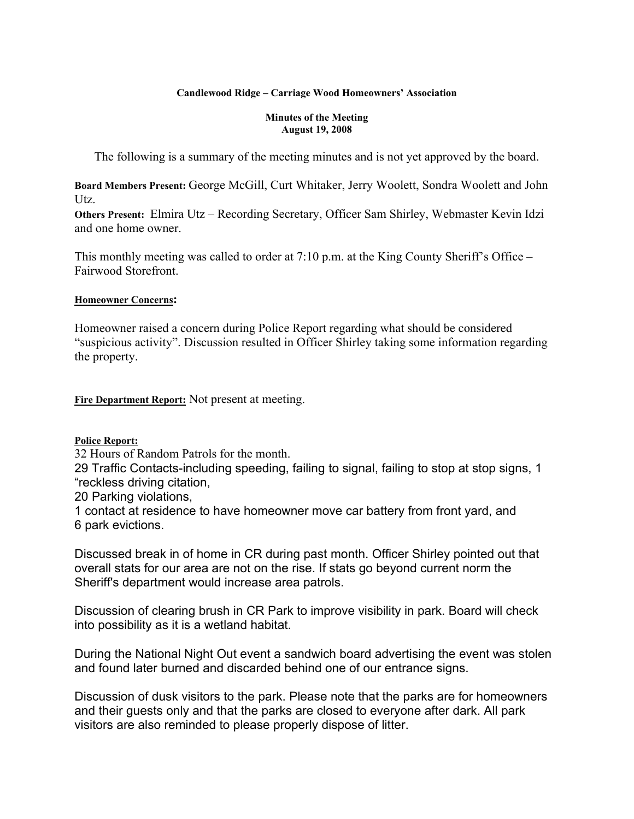#### **Candlewood Ridge – Carriage Wood Homeowners' Association**

#### **Minutes of the Meeting August 19, 2008**

The following is a summary of the meeting minutes and is not yet approved by the board.

**Board Members Present:** George McGill, Curt Whitaker, Jerry Woolett, Sondra Woolett and John Utz.

**Others Present:** Elmira Utz – Recording Secretary, Officer Sam Shirley, Webmaster Kevin Idzi and one home owner.

This monthly meeting was called to order at 7:10 p.m. at the King County Sheriff's Office – Fairwood Storefront.

#### **Homeowner Concerns:**

Homeowner raised a concern during Police Report regarding what should be considered "suspicious activity". Discussion resulted in Officer Shirley taking some information regarding the property.

**Fire Department Report:** Not present at meeting.

**Police Report:**

32 Hours of Random Patrols for the month.

29 Traffic Contacts-including speeding, failing to signal, failing to stop at stop signs, 1 "reckless driving citation,

20 Parking violations,

1 contact at residence to have homeowner move car battery from front yard, and 6 park evictions.

Discussed break in of home in CR during past month. Officer Shirley pointed out that overall stats for our area are not on the rise. If stats go beyond current norm the Sheriff's department would increase area patrols.

Discussion of clearing brush in CR Park to improve visibility in park. Board will check into possibility as it is a wetland habitat.

During the National Night Out event a sandwich board advertising the event was stolen and found later burned and discarded behind one of our entrance signs.

Discussion of dusk visitors to the park. Please note that the parks are for homeowners and their guests only and that the parks are closed to everyone after dark. All park visitors are also reminded to please properly dispose of litter.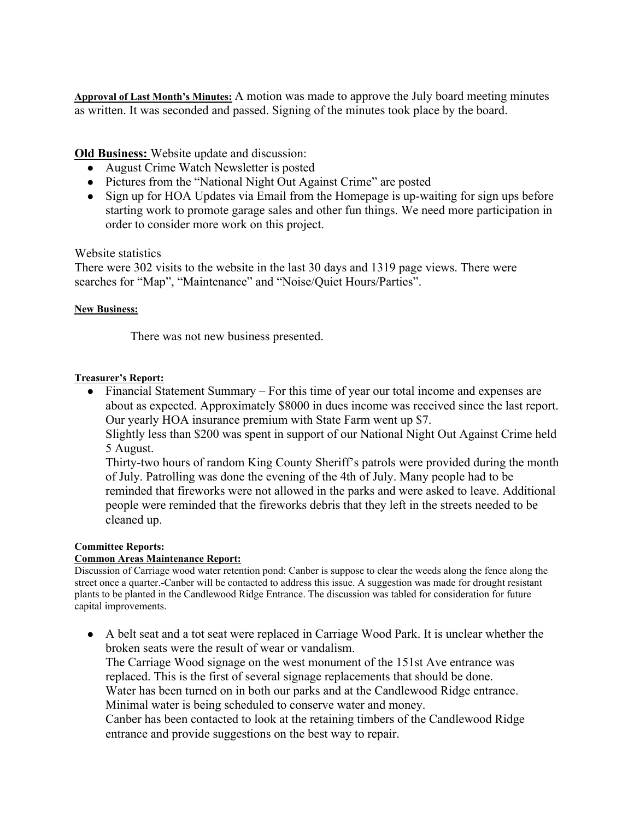**Approval of Last Month's Minutes:** A motion was made to approve the July board meeting minutes as written. It was seconded and passed. Signing of the minutes took place by the board.

**Old Business:** Website update and discussion:

- August Crime Watch Newsletter is posted
- Pictures from the "National Night Out Against Crime" are posted
- Sign up for HOA Updates via Email from the Homepage is up-waiting for sign ups before starting work to promote garage sales and other fun things. We need more participation in order to consider more work on this project.

## Website statistics

There were 302 visits to the website in the last 30 days and 1319 page views. There were searches for "Map", "Maintenance" and "Noise/Quiet Hours/Parties".

## **New Business:**

There was not new business presented.

## **Treasurer's Report:**

• Financial Statement Summary – For this time of year our total income and expenses are about as expected. Approximately \$8000 in dues income was received since the last report. Our yearly HOA insurance premium with State Farm went up \$7.

Slightly less than \$200 was spent in support of our National Night Out Against Crime held 5 August.

Thirty-two hours of random King County Sheriff's patrols were provided during the month of July. Patrolling was done the evening of the 4th of July. Many people had to be reminded that fireworks were not allowed in the parks and were asked to leave. Additional people were reminded that the fireworks debris that they left in the streets needed to be cleaned up.

## **Committee Reports:**

## **Common Areas Maintenance Report:**

Discussion of Carriage wood water retention pond: Canber is suppose to clear the weeds along the fence along the street once a quarter.-Canber will be contacted to address this issue. A suggestion was made for drought resistant plants to be planted in the Candlewood Ridge Entrance. The discussion was tabled for consideration for future capital improvements.

● A belt seat and a tot seat were replaced in Carriage Wood Park. It is unclear whether the broken seats were the result of wear or vandalism. The Carriage Wood signage on the west monument of the 151st Ave entrance was replaced. This is the first of several signage replacements that should be done. Water has been turned on in both our parks and at the Candlewood Ridge entrance. Minimal water is being scheduled to conserve water and money.

Canber has been contacted to look at the retaining timbers of the Candlewood Ridge entrance and provide suggestions on the best way to repair.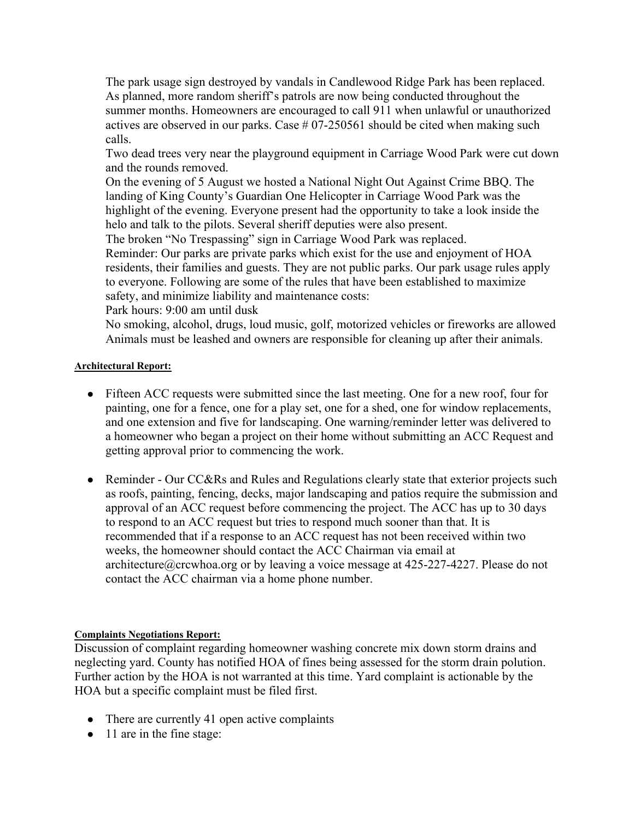The park usage sign destroyed by vandals in Candlewood Ridge Park has been replaced. As planned, more random sheriff's patrols are now being conducted throughout the summer months. Homeowners are encouraged to call 911 when unlawful or unauthorized actives are observed in our parks. Case # 07-250561 should be cited when making such calls.

Two dead trees very near the playground equipment in Carriage Wood Park were cut down and the rounds removed.

On the evening of 5 August we hosted a National Night Out Against Crime BBQ. The landing of King County's Guardian One Helicopter in Carriage Wood Park was the highlight of the evening. Everyone present had the opportunity to take a look inside the helo and talk to the pilots. Several sheriff deputies were also present.

The broken "No Trespassing" sign in Carriage Wood Park was replaced.

Reminder: Our parks are private parks which exist for the use and enjoyment of HOA residents, their families and guests. They are not public parks. Our park usage rules apply to everyone. Following are some of the rules that have been established to maximize safety, and minimize liability and maintenance costs:

Park hours: 9:00 am until dusk

No smoking, alcohol, drugs, loud music, golf, motorized vehicles or fireworks are allowed Animals must be leashed and owners are responsible for cleaning up after their animals.

#### **Architectural Report:**

- Fifteen ACC requests were submitted since the last meeting. One for a new roof, four for painting, one for a fence, one for a play set, one for a shed, one for window replacements, and one extension and five for landscaping. One warning/reminder letter was delivered to a homeowner who began a project on their home without submitting an ACC Request and getting approval prior to commencing the work.
- Reminder Our CC&Rs and Rules and Regulations clearly state that exterior projects such as roofs, painting, fencing, decks, major landscaping and patios require the submission and approval of an ACC request before commencing the project. The ACC has up to 30 days to respond to an ACC request but tries to respond much sooner than that. It is recommended that if a response to an ACC request has not been received within two weeks, the homeowner should contact the ACC Chairman via email at architecture@crcwhoa.org or by leaving a voice message at 425-227-4227. Please do not contact the ACC chairman via a home phone number.

#### **Complaints Negotiations Report:**

Discussion of complaint regarding homeowner washing concrete mix down storm drains and neglecting yard. County has notified HOA of fines being assessed for the storm drain polution. Further action by the HOA is not warranted at this time. Yard complaint is actionable by the HOA but a specific complaint must be filed first.

- There are currently 41 open active complaints
- 11 are in the fine stage: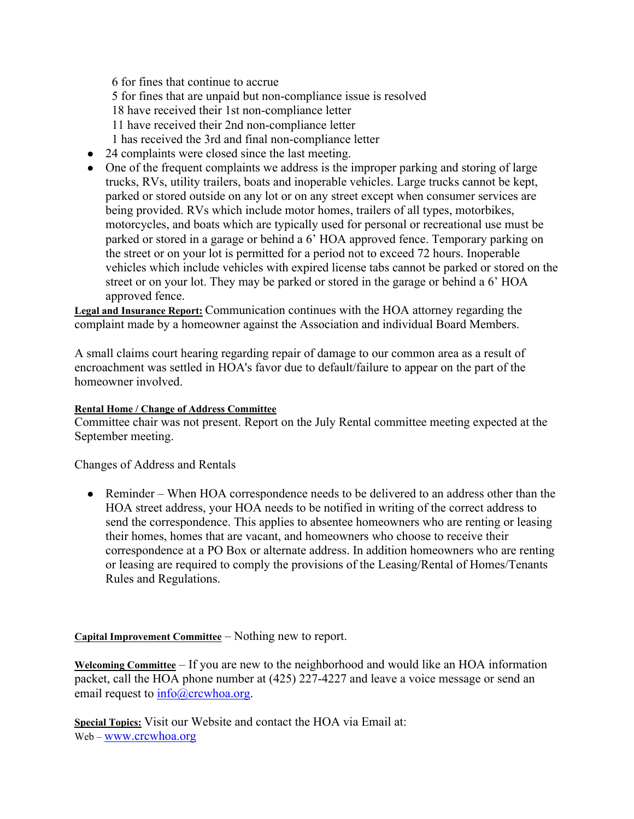6 for fines that continue to accrue 5 for fines that are unpaid but non-compliance issue is resolved 18 have received their 1st non-compliance letter 11 have received their 2nd non-compliance letter 1 has received the 3rd and final non-compliance letter

- 24 complaints were closed since the last meeting.
- One of the frequent complaints we address is the improper parking and storing of large trucks, RVs, utility trailers, boats and inoperable vehicles. Large trucks cannot be kept, parked or stored outside on any lot or on any street except when consumer services are being provided. RVs which include motor homes, trailers of all types, motorbikes, motorcycles, and boats which are typically used for personal or recreational use must be parked or stored in a garage or behind a 6' HOA approved fence. Temporary parking on the street or on your lot is permitted for a period not to exceed 72 hours. Inoperable vehicles which include vehicles with expired license tabs cannot be parked or stored on the street or on your lot. They may be parked or stored in the garage or behind a 6' HOA approved fence.

**Legal and Insurance Report:** Communication continues with the HOA attorney regarding the complaint made by a homeowner against the Association and individual Board Members.

A small claims court hearing regarding repair of damage to our common area as a result of encroachment was settled in HOA's favor due to default/failure to appear on the part of the homeowner involved.

#### **Rental Home / Change of Address Committee**

Committee chair was not present. Report on the July Rental committee meeting expected at the September meeting.

Changes of Address and Rentals

• Reminder – When HOA correspondence needs to be delivered to an address other than the HOA street address, your HOA needs to be notified in writing of the correct address to send the correspondence. This applies to absentee homeowners who are renting or leasing their homes, homes that are vacant, and homeowners who choose to receive their correspondence at a PO Box or alternate address. In addition homeowners who are renting or leasing are required to comply the provisions of the Leasing/Rental of Homes/Tenants Rules and Regulations.

**Capital Improvement Committee** – Nothing new to report.

**Welcoming Committee** – If you are new to the neighborhood and would like an HOA information packet, call the HOA phone number at (425) 227-4227 and leave a voice message or send an email request to  $\frac{info@crcwhoa.org.$ 

**Special Topics:** Visit our Website and contact the HOA via Email at: Web – www.crcwhoa.org